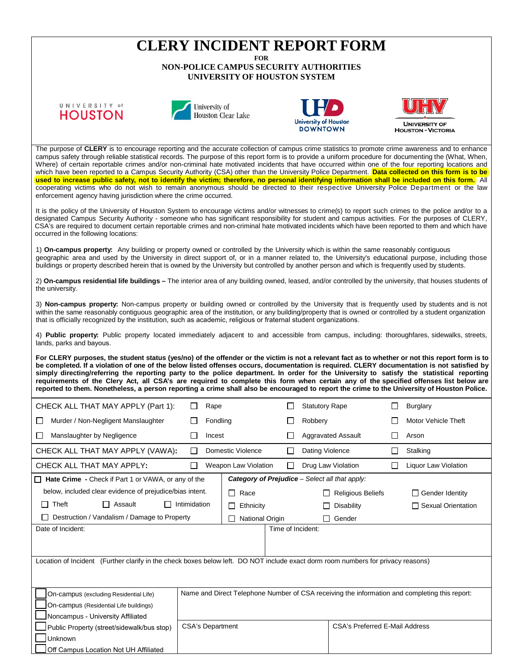## **CLERY INCIDENT REPORT FORM**

**FOR**

**NON-POLICE CAMPUS SECURITY AUTHORITIES UNIVERSITY OF HOUSTON SYSTEM**

## UNIVERSITY of **HOUSTON**







**HOUSTON - VICTORIA** 

The purpose of CLERY is to encourage reporting and the accurate collection of campus crime statistics to promote crime awareness and to enhance campus safety through reliable statistical records. The purpose of this report form is to provide a uniform procedure for documenting the (What, When, Where) of certain reportable crimes and/or non-criminal hate motivated incidents that have occurred within one of the four reporting locations and which have been reported to a Campus Security Authority (CSA) other than the University Police Department. **Data collected on this form is to be used to increase public safety, not to identify the victim; therefore, no personal identifying information shall be included on this form.** All cooperating victims who do not wish to remain anonymous should be directed to their respective University Police Department or the law enforcement agency having jurisdiction where the crime occurred.

It is the policy of the University of Houston System to encourage victims and/or witnesses to crime(s) to report such crimes to the police and/or to a designated Campus Security Authority - someone who has significant responsibility for student and campus activities. For the purposes of CLERY, CSA's are required to document certain reportable crimes and non-criminal hate motivated incidents which have been reported to them and which have occurred in the following locations:

1) **On-campus property:** Any building or property owned or controlled by the University which is within the same reasonably contiguous geographic area and used by the University in direct support of, or in a manner related to, the University's educational purpose, including those buildings or property described herein that is owned by the University but controlled by another person and which is frequently used by students.

2) **On-campus residential life buildings –** The interior area of any building owned, leased, and/or controlled by the university, that houses students of the university.

3) **Non-campus property:** Non-campus property or building owned or controlled by the University that is frequently used by students and is not within the same reasonably contiguous geographic area of the institution, or any building/property that is owned or controlled by a student organization that is officially recognized by the institution, such as academic, religious or fraternal student organizations.

4) **Public property:** Public property located immediately adjacent to and accessible from campus, including: thoroughfares, sidewalks, streets, lands, parks and bayous.

**For CLERY purposes, the student status (yes/no) of the offender or the victim is not a relevant fact as to whether or not this report form is to be completed. If a violation of one of the below listed offenses occurs, documentation is required. CLERY documentation is not satisfied by** simply directing/referring the reporting party to the police department. In order for the University to satisfy the statistical reporting requirements of the Clery Act, all CSA's are required to complete this form when certain any of the specified offenses list below are **reported to them. Nonetheless, a person reporting a crime shall also be encouraged to report the crime to the University of Houston Police.**

| CHECK ALL THAT MAY APPLY (Part 1):                                                                                               | Rape                                                                                          |  |                          | <b>Statutory Rape</b> |                                       | <b>Burglary</b> |                            |  |  |  |
|----------------------------------------------------------------------------------------------------------------------------------|-----------------------------------------------------------------------------------------------|--|--------------------------|-----------------------|---------------------------------------|-----------------|----------------------------|--|--|--|
| Murder / Non-Negligent Manslaughter<br>П                                                                                         | Fondling                                                                                      |  |                          |                       | Robbery                               |                 | <b>Motor Vehicle Theft</b> |  |  |  |
| Manslaughter by Negligence<br>П                                                                                                  | Incest                                                                                        |  |                          |                       | <b>Aggravated Assault</b>             | $\mathsf{L}$    | Arson                      |  |  |  |
| CHECK ALL THAT MAY APPLY (VAWA):                                                                                                 | $\perp$                                                                                       |  | Domestic Violence        |                       | Dating Violence                       |                 | Stalking                   |  |  |  |
| CHECK ALL THAT MAY APPLY:                                                                                                        | $\Box$                                                                                        |  | Weapon Law Violation     | П                     | Drug Law Violation                    |                 | Liquor Law Violation       |  |  |  |
| <b>Category of Prejudice</b> – Select all that apply:<br>$\Box$ Hate Crime - Check if Part 1 or VAWA, or any of the              |                                                                                               |  |                          |                       |                                       |                 |                            |  |  |  |
| below, included clear evidence of prejudice/bias intent.                                                                         | Race<br>$\Box$                                                                                |  | <b>Religious Beliefs</b> |                       | $\Box$ Gender Identity                |                 |                            |  |  |  |
| Theft<br>Assault<br>$\mathsf{L}$                                                                                                 | Intimidation                                                                                  |  |                          |                       | Disability                            |                 | □ Sexual Orientation       |  |  |  |
| Destruction / Vandalism / Damage to Property<br><b>National Origin</b><br>$\perp$                                                |                                                                                               |  |                          |                       | Gender                                |                 |                            |  |  |  |
| Date of Incident:                                                                                                                |                                                                                               |  |                          |                       | Time of Incident:                     |                 |                            |  |  |  |
|                                                                                                                                  |                                                                                               |  |                          |                       |                                       |                 |                            |  |  |  |
|                                                                                                                                  |                                                                                               |  |                          |                       |                                       |                 |                            |  |  |  |
| Location of Incident (Further clarify in the check boxes below left. DO NOT include exact dorm room numbers for privacy reasons) |                                                                                               |  |                          |                       |                                       |                 |                            |  |  |  |
|                                                                                                                                  |                                                                                               |  |                          |                       |                                       |                 |                            |  |  |  |
| On-campus (excluding Residential Life)                                                                                           | Name and Direct Telephone Number of CSA receiving the information and completing this report: |  |                          |                       |                                       |                 |                            |  |  |  |
| On-campus (Residential Life buildings)                                                                                           |                                                                                               |  |                          |                       |                                       |                 |                            |  |  |  |
| Noncampus - University Affiliated                                                                                                |                                                                                               |  |                          |                       |                                       |                 |                            |  |  |  |
| Public Property (street/sidewalk/bus stop)                                                                                       | <b>CSA's Department</b>                                                                       |  |                          |                       | <b>CSA's Preferred E-Mail Address</b> |                 |                            |  |  |  |
| Unknown                                                                                                                          |                                                                                               |  |                          |                       |                                       |                 |                            |  |  |  |
| Off Campus Location Not UH Affiliated                                                                                            |                                                                                               |  |                          |                       |                                       |                 |                            |  |  |  |